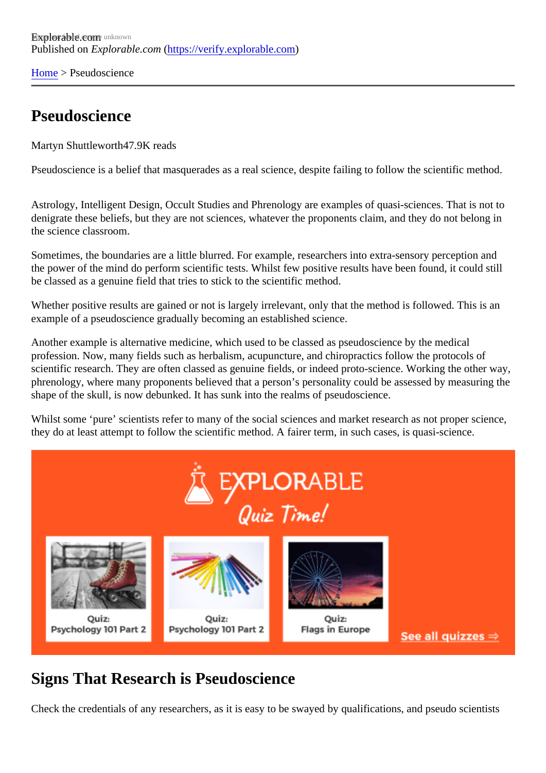[Home](https://verify.explorable.com/)> Pseudoscience

## Pseudoscience

Martyn Shuttlewort<sup>47.9K</sup> reads

Pseudoscience is a belief that masquerades as a real science, despite failing to follow the scientific method.

Astrology, Intelligent Design, Occult Studies and Phrenology are examples of quasi-sciences. That is not to denigrate these beliefs, but they are not sciences, whatever the proponents claim, and they do not belong the science classroom.

Sometimes, the boundaries are a little blurred. For example, researchers into extra-sensory perception an the power of the mind do perform scientific tests. Whilst few positive results have been found, it could still be classed as a genuine field that tries to stick to the scientific method.

Whether positive results are gained or not is largely irrelevant, only that the method is followed. This is an example of a pseudoscience gradually becoming an established science.

Another example is alternative medicine, which used to be classed as pseudoscience by the medical profession. Now, many fields such as herbalism, acupuncture, and chiropractics follow the protocols of scientific research. They are often classed as genuine fields, or indeed proto-science. Working the other w phrenology, where many proponents believed that a person's personality could be assessed by measuring shape of the skull, is now debunked. It has sunk into the realms of pseudoscience.

Whilst some 'pure' scientists refer to many of the social sciences and market research as not proper science, they do at least attempt to follow the scientific method. A fairer term, in such cases, is quasi-science.

## Signs That Research is Pseudoscience

Check the credentials of any researchers, as it is easy to be swayed by qualifications, and pseudo scientisty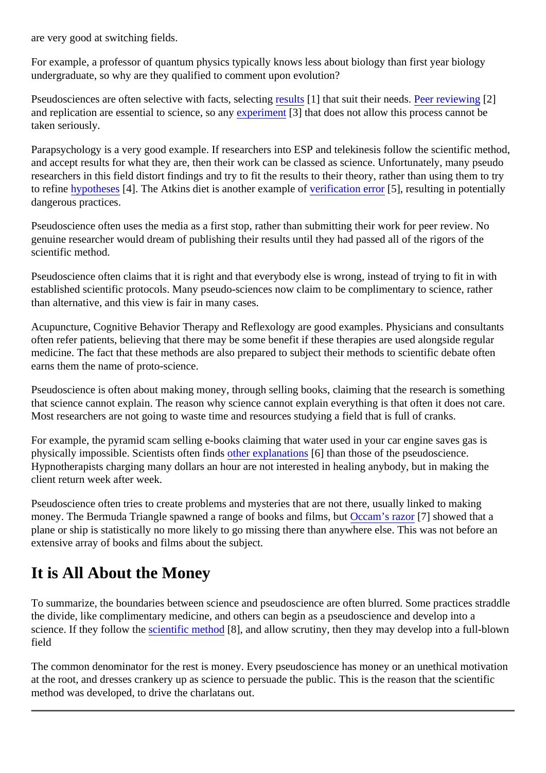are very good at switching fields.

For example, a professor of quantum physics typically knows less about biology than first year biology undergraduate, so why are they qualified to comment upon evolution?

Pseudosciences are often selective with facts, selecting of that suit their need Peer reviewing 2] and replication are essential to science, so apperiment<sup>[3]</sup> that does not allow this process cannot be taken seriously.

Parapsychology is a very good example. If researchers into ESP and telekinesis follow the scientific method, and accept results for what they are, then their work can be classed as science. Unfortunately, many pseudously researchers in this field distort findings and try to fit the results to their theory, rather than using them to try to refin[e hypothese](https://verify.explorable.com/research-hypothesis)<sup>[4]</sup>. The Atkins diet is another example of rification error<sup>[5]</sup>, resulting in potentially dangerous practices.

Pseudoscience often uses the media as a first stop, rather than submitting their work for peer review. No genuine researcher would dream of publishing their results until they had passed all of the rigors of the scientific method.

Pseudoscience often claims that it is right and that everybody else is wrong, instead of trying to fit in with established scientific protocols. Many pseudo-sciences now claim to be complimentary to science, rather than alternative, and this view is fair in many cases.

Acupuncture, Cognitive Behavior Therapy and Reflexology are good examples. Physicians and consultant often refer patients, believing that there may be some benefit if these therapies are used alongside regular medicine. The fact that these methods are also prepared to subject their methods to scientific debate often earns them the name of proto-science.

Pseudoscience is often about making money, through selling books, claiming that the research is somethi that science cannot explain. The reason why science cannot explain everything is that often it does not ca Most researchers are not going to waste time and resources studying a field that is full of cranks.

For example, the pyramid scam selling e-books claiming that water used in your car engine saves gas is physically impossible. Scientists often finds berexplanation<sup>[6]</sup> than those of the pseudoscience. Hypnotherapists charging many dollars an hour are not interested in healing anybody, but in making the client return week after week.

Pseudoscience often tries to create problems and mysteries that are not there, usually linked to making money. The Bermuda Triangle spawned a range of books and film Gcbann's razor<sup>7</sup> showed that a plane or ship is statistically no more likely to go missing there than anywhere else. This was not before an extensive array of books and films about the subject.

## It is All About the Money

To summarize, the boundaries between science and pseudoscience are often blurred. Some practices stra the divide, like complimentary medicine, and others can begin as a pseudoscience and develop into a science. If they follow the cientific method 8], and allow scrutiny, then they may develop into a full-blown field

The common denominator for the rest is money. Every pseudoscience has money or an unethical motivation at the root, and dresses crankery up as science to persuade the public. This is the reason that the scientific method was developed, to drive the charlatans out.